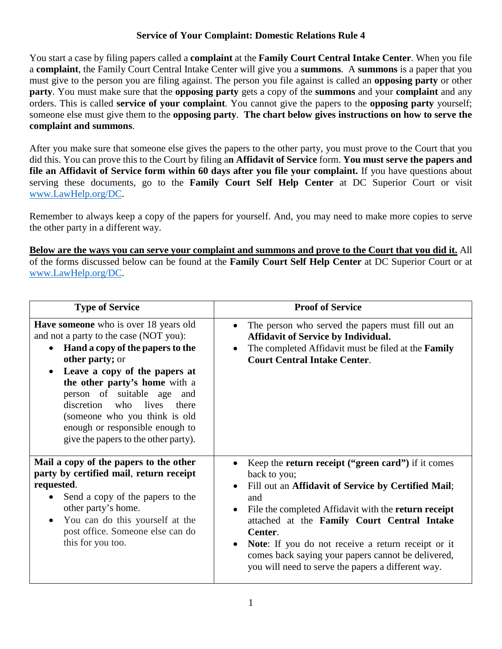## **Service of Your Complaint: Domestic Relations Rule 4**

You start a case by filing papers called a **complaint** at the **Family Court Central Intake Center**. When you file a **complaint**, the Family Court Central Intake Center will give you a **summons**. A **summons** is a paper that you must give to the person you are filing against. The person you file against is called an **opposing party** or other **party**. You must make sure that the **opposing party** gets a copy of the **summons** and your **complaint** and any orders. This is called **service of your complaint**. You cannot give the papers to the **opposing party** yourself; someone else must give them to the **opposing party**. **The chart below gives instructions on how to serve the complaint and summons**.

After you make sure that someone else gives the papers to the other party, you must prove to the Court that you did this. You can prove this to the Court by filing a**n Affidavit of Service** form. **You must serve the papers and file an Affidavit of Service form within 60 days after you file your complaint.** If you have questions about serving these documents, go to the **Family Court Self Help Center** at DC Superior Court or visit [www.LawHelp.org/DC.](http://www.lawhelp.org/DC)

Remember to always keep a copy of the papers for yourself. And, you may need to make more copies to serve the other party in a different way.

**Below are the ways you can serve your complaint and summons and prove to the Court that you did it.** All of the forms discussed below can be found at the **Family Court Self Help Center** at DC Superior Court or at [www.LawHelp.org/DC.](http://www.lawhelp.org/DC)

| <b>Type of Service</b>                                                                                                                                                                                                                                                                                                                                                                                                  | <b>Proof of Service</b>                                                                                                                                                                                                                                                                                                                                                                                                                                            |
|-------------------------------------------------------------------------------------------------------------------------------------------------------------------------------------------------------------------------------------------------------------------------------------------------------------------------------------------------------------------------------------------------------------------------|--------------------------------------------------------------------------------------------------------------------------------------------------------------------------------------------------------------------------------------------------------------------------------------------------------------------------------------------------------------------------------------------------------------------------------------------------------------------|
| <b>Have someone</b> who is over 18 years old<br>and not a party to the case (NOT you):<br>Hand a copy of the papers to the<br>$\bullet$<br>other party; or<br>Leave a copy of the papers at<br>$\bullet$<br>the other party's home with a<br>person of suitable age<br>and<br>discretion who lives<br>there<br>(someone who you think is old<br>enough or responsible enough to<br>give the papers to the other party). | The person who served the papers must fill out an<br>$\bullet$<br><b>Affidavit of Service by Individual.</b><br>The completed Affidavit must be filed at the <b>Family</b><br>$\bullet$<br><b>Court Central Intake Center.</b>                                                                                                                                                                                                                                     |
| Mail a copy of the papers to the other<br>party by certified mail, return receipt<br>requested.<br>Send a copy of the papers to the<br>other party's home.<br>You can do this yourself at the<br>post office. Someone else can do<br>this for you too.                                                                                                                                                                  | Keep the <b>return receipt</b> ("green card") if it comes<br>back to you;<br>Fill out an Affidavit of Service by Certified Mail;<br>$\bullet$<br>and<br>File the completed Affidavit with the return receipt<br>$\bullet$<br>attached at the Family Court Central Intake<br>Center.<br>Note: If you do not receive a return receipt or it<br>$\bullet$<br>comes back saying your papers cannot be delivered,<br>you will need to serve the papers a different way. |